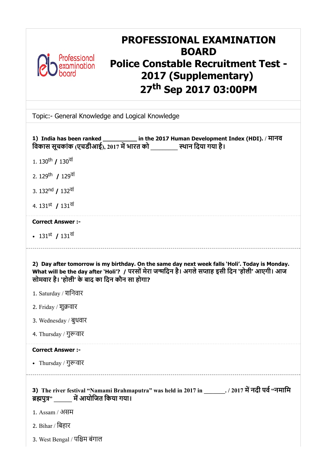

# PROFESSIONAL EXAMINATION BOARD Police Constable Recruitment Test - 2017 (Supplementary) 27th Sep 2017 03:00PM

Topic:- General Knowledge and Logical Knowledge

| 1) India has been ranked ___________ in the 2017 Human Development Index (HDI). / मानव<br>विकास सूचकांक (एचडीआई), 2017 में भारत को [15] स्थान दिया गया है।                                                                                        |
|---------------------------------------------------------------------------------------------------------------------------------------------------------------------------------------------------------------------------------------------------|
| 1. 130 <sup>th</sup> / 130 <sup>di</sup>                                                                                                                                                                                                          |
| 2. 129 <sup>th</sup> / 129 <sup>dl</sup>                                                                                                                                                                                                          |
| 3. 132 <sup>nd</sup> / 132 <sup>di</sup>                                                                                                                                                                                                          |
| 4. 131st / 131 <sup>di</sup>                                                                                                                                                                                                                      |
| <b>Correct Answer :-</b>                                                                                                                                                                                                                          |
| • $131^{\text{st}}$ / $131^{\text{df}}$                                                                                                                                                                                                           |
| 2) Day after tomorrow is my birthday. On the same day next week falls 'Holi'. Today is Monday.<br>What will be the day after `Holi'? / परसों मेरा जन्मदिन है। अगले सप्ताह इसी दिन `होली' आएगी। आज<br>सोमवार है। 'होली' के बाद का दिन कौन सा होगा? |
| 1. Saturday / शनिवार                                                                                                                                                                                                                              |
| 2. Friday / शुक्रवार                                                                                                                                                                                                                              |
| 3. Wednesday / बुधवार                                                                                                                                                                                                                             |
| 4. Thursday / गुरूवार                                                                                                                                                                                                                             |
| <b>Correct Answer :-</b>                                                                                                                                                                                                                          |
| • Thursday / गुरूवार                                                                                                                                                                                                                              |
| 3) The river festival "Namami Brahmaputra" was held in 2017 in _______. / 2017 में नदी पर्व "नमामि<br>ब्रह्मपुत्र" ______ में आयोजित किया गया।                                                                                                    |
| 1. Assam / असम                                                                                                                                                                                                                                    |
| 2. Bihar / बिहार                                                                                                                                                                                                                                  |
| 3. West Bengal / पश्चिम बंगाल                                                                                                                                                                                                                     |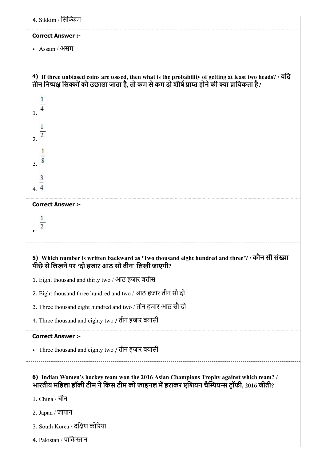| 4. Sikkim / सिक्किम                                                                                                                                                                                        |
|------------------------------------------------------------------------------------------------------------------------------------------------------------------------------------------------------------|
| <b>Correct Answer :-</b>                                                                                                                                                                                   |
| • $Assam / 3H$ म                                                                                                                                                                                           |
| 4) If three unbiased coins are tossed, then what is the probability of getting at least two heads? / यदि<br>तीन निष्पक्ष सिक्कों को उछाला जाता है, तो कम से कम दो शीर्ष प्राप्त होने की क्या प्रायिकता है? |
| $\mathbf{1}$ .                                                                                                                                                                                             |
| $2^{\frac{2}{3}}$                                                                                                                                                                                          |
| 3.8                                                                                                                                                                                                        |
| $\frac{3}{4}$                                                                                                                                                                                              |
| <b>Correct Answer :-</b>                                                                                                                                                                                   |
| $\overline{c}$                                                                                                                                                                                             |
| 5) Which number is written backward as 'Two thousand eight hundred and three'? / कौन सी संख्या<br>पीछे से लिखने पर 'दो हजार आठ सौ तीन' लिखी जाएगी?                                                         |
| 1. Eight thousand and thirty two / आठ हजार बत्तीस                                                                                                                                                          |
| 2. Eight thousand three hundred and two / आठ हजार तीन सौ दो                                                                                                                                                |
| 3. Three thousand eight hundred and two / तीन हजार आठ सौ दो                                                                                                                                                |
| 4. Three thousand and eighty two / तीन हजार बयासी                                                                                                                                                          |
| <b>Correct Answer :-</b>                                                                                                                                                                                   |
| • Three thousand and eighty two / तीन हजार बयासी                                                                                                                                                           |
| 6) Indian Women's hockey team won the 2016 Asian Champions Trophy against which team? /<br>भारतीय महिला हॉकी टीम ने किस टीम को फाइनल में हराकर एशियन चैम्पियन्स ट्रॉफी, 2016 जीती?                         |
| 1. China / चीन                                                                                                                                                                                             |
| 2. Japan / जापान                                                                                                                                                                                           |
| 3. South Korea / दक्षिण कोरिया                                                                                                                                                                             |
| 4. Pakistan / पाकिस्तान                                                                                                                                                                                    |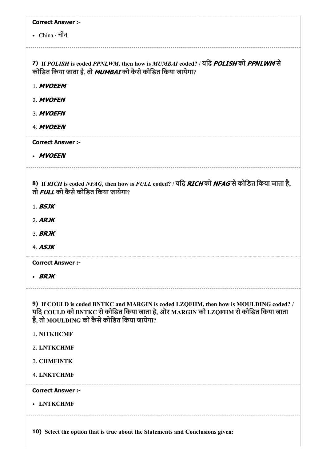| <b>Correct Answer :-</b>                                                                                                       |
|--------------------------------------------------------------------------------------------------------------------------------|
| • $China / \bar{d}$ नि                                                                                                         |
|                                                                                                                                |
| 7) If POLISH is coded PPNLWM, then how is MUMBAI coded? / यदि POLISH को PPNLWM से                                              |
| कोडित किया जाता है, तो MUMBAI को कैसे कोडित किया जायेगा?                                                                       |
| 1. MVOEEM                                                                                                                      |
| 2. MVOFEN                                                                                                                      |
| 3. MVOEFN                                                                                                                      |
| 4. MVOEEN                                                                                                                      |
| <b>Correct Answer :-</b>                                                                                                       |
| • MVOEEN                                                                                                                       |
|                                                                                                                                |
| 8) If RICH is coded NFAG, then how is FULL coded? / यदि RICH को NFAG से कोडित किया जाता है,                                    |
| तो FULL को कैसे कोडित किया जायेगा?                                                                                             |
| $1.$ BSJK                                                                                                                      |
| $2.$ ARJK                                                                                                                      |
| 3. <b>BRJK</b>                                                                                                                 |
| 4. <b>ASJK</b>                                                                                                                 |
| <b>Correct Answer :-</b>                                                                                                       |
| • BRJK                                                                                                                         |
|                                                                                                                                |
| 9) If COULD is coded BNTKC and MARGIN is coded LZQFHM, then how is MOULDING coded? /                                           |
| यदि COULD को BNTKC से कोडित किया जाता है, और MARGIN को LZQFHM से कोडित किया जाता<br>है, तो MOULDING को कैसे कोडित किया जायेगा? |
| 1. NITKHCMF                                                                                                                    |
| 2. LNTKCHMF                                                                                                                    |
| <b>3. CHMFINTK</b>                                                                                                             |
| <b>4. LNKTCHMF</b>                                                                                                             |
|                                                                                                                                |
| <b>Correct Answer :-</b>                                                                                                       |
| • LNTKCHMF                                                                                                                     |
|                                                                                                                                |
| 10) Select the option that is true about the Statements and Conclusions given:                                                 |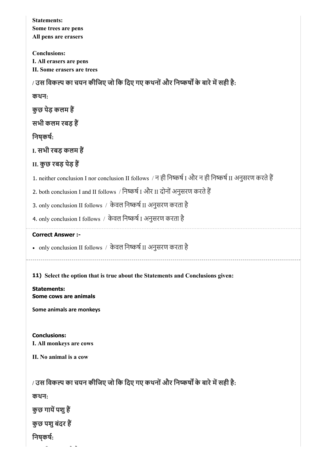| <b>Statements:</b><br>Some trees are pens<br>All pens are erasers                                       |
|---------------------------------------------------------------------------------------------------------|
| <b>Conclusions:</b><br>I. All erasers are pens<br>II. Some erasers are trees                            |
| / उस विकल्प का चयन कीजिए जो कि दिए गए कथनों और निष्कर्षों के बारे में सही है:                           |
| कथन:                                                                                                    |
| कुछ पेड़ कलम हैं                                                                                        |
| सभी कलम रबड़ हैं                                                                                        |
| निषकर्षः                                                                                                |
| I. सभी रबड़ कलम हैं                                                                                     |
| II. कुछ रबड़ पेड़ हैं                                                                                   |
| 1. neither conclusion I nor conclusion II follows / न ही निष्कर्ष I और न ही निष्कर्ष II अनुसरण करते हैं |
| 2. both conclusion I and II follows / निष्कर्ष I और II दोनों अनुसरण करते हैं                            |
| 3. only conclusion II follows / केवल निष्कर्ष II अनुसरण करता है                                         |
| 4. only conclusion I follows / केवल निष्कर्ष I अनुसरण करता है                                           |
| <b>Correct Answer :-</b>                                                                                |
|                                                                                                         |
| • only conclusion II follows / केवल निष्कर्ष II अनुसरण करता है                                          |
| 11) Select the option that is true about the Statements and Conclusions given:                          |
| <b>Statements:</b><br>Some cows are animals                                                             |
| Some animals are monkeys                                                                                |
|                                                                                                         |
| <b>Conclusions:</b><br>I. All monkeys are cows                                                          |
| II. No animal is a cow                                                                                  |
| / उस विकल्प का चयन कीजिए जो कि दिए गए कथनों और निष्कर्षों के बारे में सही है:                           |
| कथन:                                                                                                    |
| कुछ गायें पशु हैं                                                                                       |
| कुछ पशु बंदर हैं                                                                                        |
| निष् <b>कर्ष</b> :                                                                                      |

 $- - - - - -$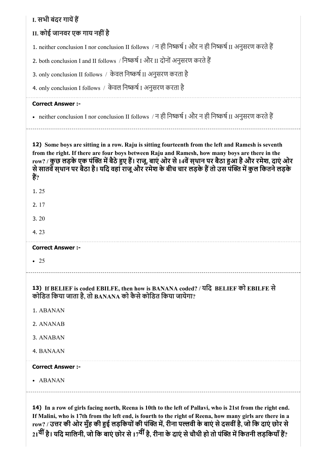# I. सभी बंदर गायें हैं

# II. कोई जानवर एक गाय नहींहै

1. neither conclusion I nor conclusion II follows / न ही निष्कर्ष I और न ही निष्कर्ष II अनुसरण करते हैं

2. both conclusion I and II follows / निष्कर्ष I और II दोनों अनुसरण करते हैं

3. only conclusion II follows / केवल निष्कर्ष II अनुसरण करता है

4. only conclusion I follows / केवल निष्कर्ष I अनुसरण करता है

#### Correct Answer :-

• neither conclusion I nor conclusion II follows / न ही निष्कर्ष I और न ही निष्कर्ष II अनुसरण करते हैं

12) Some boys are sitting in a row. Raju is sitting fourteenth from the left and Ramesh is seventh from the right. If there are four boys between Raju and Ramesh, how many boys are there in the row? / कुछ लड़के एक पंक्ति में बैठे हुए हैं। राजू, बाएं ओर से 14वें स्**थान पर बैठा हुआ है और रमेश, दाएं ओर** से सातवे स्थान पर बैठा है। यदि वहां राजू और रमेश के बीच चार लड़के है तो उस पंक्ति में कुल कितने लड़के हैं?

- 2. 17
- 3. 20
- 4. 23

Correct Answer :-

 $-25$ 

## 13) If BELIEF is coded EBILFE, then how is BANANA coded? / यिद BELIEF को EBILFE से कोडित किया जाता है, तो BANANA को कैसे कोडित किया जायेगा?

- 1. ABANAN
- 2. ANANAB
- 3. ANABAN
- 4. BANAAN

### Correct Answer :-

ABANAN

14) In a row of girls facing north, Reena is 10th to the left of Pallavi, who is 21st from the right end. If Malini, who is 17th from the left end, is fourth to the right of Reena, how many girls are there in a row? / उत्तर की ओर मुँह की हुई लड़कियों की पंक्ति में. रीना पल्लवी के बाएं से दसवीं है, जो कि दाएं छोर से 21<sup>वीं</sup> है। यदि मालिनी, जो कि बाएं छोर से 17<sup>वीं</sup> है, रीना के दाएं से चौथी हो तो पंक्ति में कितनी लड़कियाँ हैं?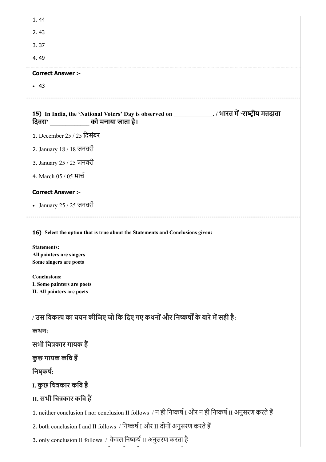| 1.44                                                                                                                                                                                                                                          |
|-----------------------------------------------------------------------------------------------------------------------------------------------------------------------------------------------------------------------------------------------|
| 2.43                                                                                                                                                                                                                                          |
| 3.37                                                                                                                                                                                                                                          |
| 4.49                                                                                                                                                                                                                                          |
| <b>Correct Answer :-</b>                                                                                                                                                                                                                      |
| $-43$                                                                                                                                                                                                                                         |
| 15) In India, the 'National Voters' Day is observed on ________________. / भारत में 'राष्ट्रीय मतदाता<br>दिवस' ______________ को मनाया जाता है।                                                                                               |
| 1. December 25 / 25 दिसंबर                                                                                                                                                                                                                    |
| 2. January 18 / 18 जनवरी                                                                                                                                                                                                                      |
| 3. January 25 / 25 जनवरी                                                                                                                                                                                                                      |
| 4. March 05 / 05 मार्च                                                                                                                                                                                                                        |
| <b>Correct Answer :-</b>                                                                                                                                                                                                                      |
| • January 25 / 25 जनवरी                                                                                                                                                                                                                       |
| 16) Select the option that is true about the Statements and Conclusions given:<br><b>Statements:</b><br>All painters are singers<br>Some singers are poets<br><b>Conclusions:</b><br>I. Some painters are poets<br>II. All painters are poets |
| / उस विकल्प का चयन कीजिए जो कि दिए गए कथनों और निष्कर्षों के बारे में सही है:                                                                                                                                                                 |
| कथन:                                                                                                                                                                                                                                          |
| सभी चित्रकार गायक हैं                                                                                                                                                                                                                         |
| कुछ गायक कवि हैं                                                                                                                                                                                                                              |
| निष्कर्षः                                                                                                                                                                                                                                     |
| I. कुछ चित्रकार कवि हैं                                                                                                                                                                                                                       |
| II. सभी चित्रकार कवि हैं                                                                                                                                                                                                                      |
| 1. neither conclusion I nor conclusion II follows / न ही निष्कर्ष I और न ही निष्कर्ष II अनुसरण करते हैं                                                                                                                                       |
| 2. both conclusion I and II follows / निष्कर्ष I और II दोनों अनुसरण करते हैं                                                                                                                                                                  |
| 3. only conclusion II follows / केवल निष्कर्ष II अनुसरण करता है                                                                                                                                                                               |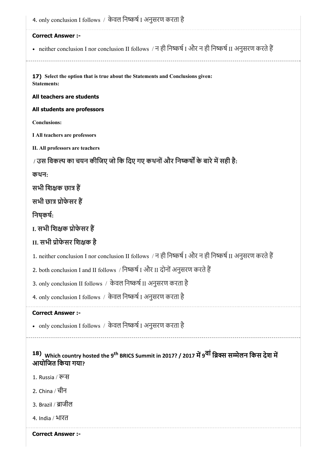17) Select the option that is true about the Statements and Conclusions given: 4. only conclusion I follows / केवल निष्कर्ष I अनुसरण करता है Correct Answer :- • neither conclusion I nor conclusion II follows / न ही निष्कर्ष I और न ही निष्कर्ष II अनुसरण करते हैं Statements: All teachers are students All students are professors Conclusions: I All teachers are professors II. All professors are teachers / उस विकल्प का चयन कीजिए जो कि दिए गए कथनों और निष्कर्षों के बारे में सही है: कथन: सभी शिक्षक छात्र हैं सभी छात्र प्रोफेसर हैं निषकर्ष: I. सभी शिक्षक प्रोफेसर हैं II. सभी ोफेसर िशक है 1. neither conclusion I nor conclusion II follows / न ही निष्कर्ष I और न ही निष्कर्ष II अनुसरण करते हैं 2. both conclusion I and II follows / निष्कर्ष I और II दोनों अनुसरण करते हैं 3. only conclusion II follows / केवल निष्कर्ष II अनुसरण करता है 4. only conclusion I follows / केवल निष्कर्ष I अनुसरण करता है Correct Answer :- • only conclusion I follows / केवल निष्कर्ष I अनुसरण करता है

# <sup>18)</sup> Which country hosted the 9<sup>th</sup> BRICS Summit in 2017? / 2017 में 9<sup>वां</sup> ब्रिक्स सम्मेलन किस देश में आयोजित किया गया?

- 1. Russia / स
- 2. China / चीन
- 3. Brazil / ब्राजील
- 4. India / भारत
- Correct Answer :-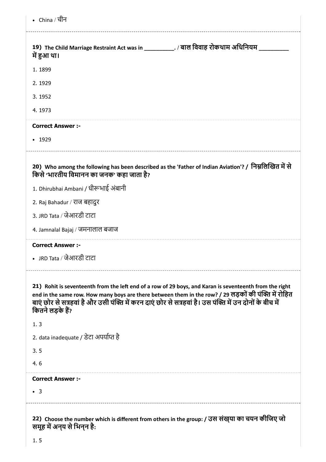| • China / चीन                                                                                                                                                                                                                                                                                                                                    |
|--------------------------------------------------------------------------------------------------------------------------------------------------------------------------------------------------------------------------------------------------------------------------------------------------------------------------------------------------|
| 19) The Child Marriage Restraint Act was in ____________. / बाल विवाह रोकथाम अधिनियम _<br>में हुआ था।                                                                                                                                                                                                                                            |
| 1.1899                                                                                                                                                                                                                                                                                                                                           |
| 2.1929                                                                                                                                                                                                                                                                                                                                           |
| 3.1952                                                                                                                                                                                                                                                                                                                                           |
| 4.1973                                                                                                                                                                                                                                                                                                                                           |
| <b>Correct Answer :-</b>                                                                                                                                                                                                                                                                                                                         |
| $\cdot$ 1929                                                                                                                                                                                                                                                                                                                                     |
| 20) Who among the following has been described as the 'Father of Indian Aviation'? / निम्नलिखित में से<br>किसे 'भारतीय विमानन का जनक' कहा जाता है?                                                                                                                                                                                               |
| 1. Dhirubhai Ambani / धीरूभाई अंबानी                                                                                                                                                                                                                                                                                                             |
| 2. Raj Bahadur / राज बहादुर                                                                                                                                                                                                                                                                                                                      |
| 3. JRD Tata / जेआरडी टाटा                                                                                                                                                                                                                                                                                                                        |
| 4. Jamnalal Bajaj / जमनालाल बजाज                                                                                                                                                                                                                                                                                                                 |
| <b>Correct Answer:-</b>                                                                                                                                                                                                                                                                                                                          |
| JRD Tata / जेआरडी टाटा                                                                                                                                                                                                                                                                                                                           |
| 21) Rohit is seventeenth from the left end of a row of 29 boys, and Karan is seventeenth from the right<br>end in the same row. How many boys are there between them in the row? / 29 लड़कों की पंक्ति में रोहित<br>बाएं छोर से सत्रहवां है और उसी पंक्ति में करन दाएं छोर से सत्रहवां है। उस पंक्ति में उन दोनों के बीच में<br>कितने लड़के हैं? |
| 1.3                                                                                                                                                                                                                                                                                                                                              |
| 2. data inadequate / डेटा अपर्याप्त है                                                                                                                                                                                                                                                                                                           |
| 3.5                                                                                                                                                                                                                                                                                                                                              |
| 4.6                                                                                                                                                                                                                                                                                                                                              |
| <b>Correct Answer :-</b>                                                                                                                                                                                                                                                                                                                         |
| $\bullet$ 3                                                                                                                                                                                                                                                                                                                                      |
| 22) Choose the number which is different from others in the group: / उस संख़या का चयन कीजिए जो                                                                                                                                                                                                                                                   |

समूह में अन्**य से** भिन्**न** है: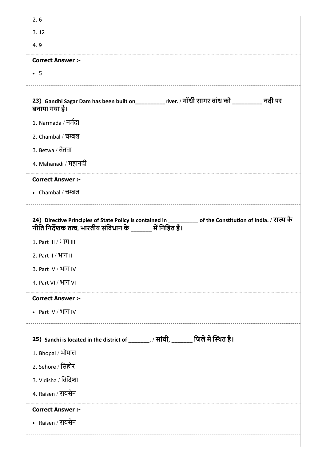| 3.12                                                                                                                                                                                                             |  |
|------------------------------------------------------------------------------------------------------------------------------------------------------------------------------------------------------------------|--|
| 4.9                                                                                                                                                                                                              |  |
| <b>Correct Answer :-</b>                                                                                                                                                                                         |  |
| $\bullet$ 5                                                                                                                                                                                                      |  |
| 23) Gandhi Sagar Dam has been built on__________river. / गाँधी सागर बांध को __________ नदी पर<br>बनाया गया है।                                                                                                   |  |
| 1. Narmada / नर्मदा                                                                                                                                                                                              |  |
| 2. Chambal / चम्बल                                                                                                                                                                                               |  |
| 3. Betwa / बेतवा                                                                                                                                                                                                 |  |
| 4. Mahanadi / महानदी                                                                                                                                                                                             |  |
| <b>Correct Answer :-</b>                                                                                                                                                                                         |  |
|                                                                                                                                                                                                                  |  |
| • Chambal / বর্দ্বল<br>24) Directive Principles of State Policy is contained in __________ of the Constitution of India. / राज्य के<br>नीति निर्देशक तत्व, भारतीय संविधान के विहित हैं।<br>1. Part III / भाग III |  |
| 2. Part II / $4\overline{1}\overline{1}$ II                                                                                                                                                                      |  |
| 3. Part IV / भाग IV                                                                                                                                                                                              |  |
| 4. Part VI / भाग VI                                                                                                                                                                                              |  |
| <b>Correct Answer :-</b>                                                                                                                                                                                         |  |
| • Part IV / HITI IV                                                                                                                                                                                              |  |
| 25) Sanchi is located in the district of ________. / सांची, _______ जिले में स्थित है।                                                                                                                           |  |
| 1. Bhopal / भोपाल                                                                                                                                                                                                |  |
| 2. Sehore / सिहोर                                                                                                                                                                                                |  |
| 3. Vidisha / विदिशा                                                                                                                                                                                              |  |
|                                                                                                                                                                                                                  |  |
| 4. Raisen / रायसेन<br><b>Correct Answer :-</b>                                                                                                                                                                   |  |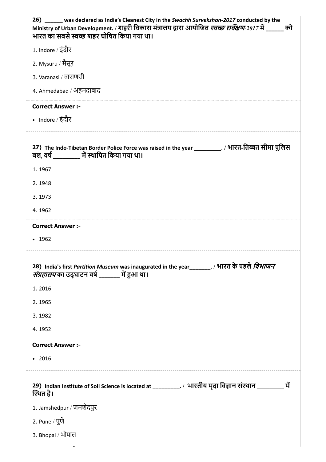| 26) _____ was declared as India's Cleanest City in the Swachh Survekshan-2017 conducted by the<br>Ministry of Urban Development. / शहरी विकास मंत्रालय द्वारा आयोजित <i>स्वच्छ सर्वेक्षण-2017</i> में ______ को<br>भारत का सबसे स्वच्छ शहर घोषित किया गया था। |
|---------------------------------------------------------------------------------------------------------------------------------------------------------------------------------------------------------------------------------------------------------------|
| 1. Indore / इंदौर                                                                                                                                                                                                                                             |
| 2. Mysuru / मैसूर                                                                                                                                                                                                                                             |
| 3. Varanasi / वाराणसी                                                                                                                                                                                                                                         |
| 4. Ahmedabad / अहमदाबाद                                                                                                                                                                                                                                       |
| <b>Correct Answer :-</b>                                                                                                                                                                                                                                      |
| • Indore / इंदौर                                                                                                                                                                                                                                              |
| 27) The Indo-Tibetan Border Police Force was raised in the year _________. / भारत-तिब्बत सीमा पुलिस<br>बल, वर्ष चिं स्थापित किया गया था।                                                                                                                      |
| 1.1967                                                                                                                                                                                                                                                        |
| 2.1948                                                                                                                                                                                                                                                        |
| 3.1973                                                                                                                                                                                                                                                        |
| 4.1962                                                                                                                                                                                                                                                        |
| <b>Correct Answer :-</b>                                                                                                                                                                                                                                      |
| • 1962                                                                                                                                                                                                                                                        |
| 28) India's first Partition Museum was inaugurated in the year_______. / भारत के पहले <i>विभाजन</i><br><i>संग्रहालय</i> का उद्घाटन वर्ष ______ में हुआ था।                                                                                                    |
| 1.2016                                                                                                                                                                                                                                                        |
| 2.1965                                                                                                                                                                                                                                                        |
| 3.1982                                                                                                                                                                                                                                                        |
| 4.1952                                                                                                                                                                                                                                                        |
| <b>Correct Answer :-</b>                                                                                                                                                                                                                                      |
| • 2016                                                                                                                                                                                                                                                        |
| 29) Indian Institute of Soil Science is located at ___________. / भारतीय मृदा विज्ञान संस्थान ___________<br>में<br>स्थित है।                                                                                                                                 |
| 1. Jamshedpur / जमशेदपुर                                                                                                                                                                                                                                      |
| 2. Pune / पुणे                                                                                                                                                                                                                                                |
| 3. Bhopal / भोपाल                                                                                                                                                                                                                                             |
|                                                                                                                                                                                                                                                               |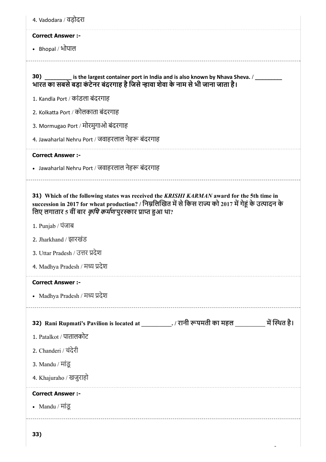| 4. Vadodara / वड़ोदरा                                                                                                                                                                                                                                                   |
|-------------------------------------------------------------------------------------------------------------------------------------------------------------------------------------------------------------------------------------------------------------------------|
| <b>Correct Answer:-</b>                                                                                                                                                                                                                                                 |
| • Bhopal / भोपाल                                                                                                                                                                                                                                                        |
| 30) _________ is the largest container port in India and is also known by Nhava Sheva. / _________<br>भारत का सबसे बड़ा कंटेनर बंदरगाह है जिसे न्हावा शेवा के नाम से भी जाना जाता है।                                                                                   |
| 1. Kandla Port / कांडला बंदरगाह                                                                                                                                                                                                                                         |
| 2. Kolkatta Port / कोलकाता बंदरगाह                                                                                                                                                                                                                                      |
| 3. Mormugao Port / मोरमुगाओ बंदरगाह                                                                                                                                                                                                                                     |
| 4. Jawaharlal Nehru Port / जवाहरलाल नेहरू बंदरगाह                                                                                                                                                                                                                       |
| <b>Correct Answer :-</b>                                                                                                                                                                                                                                                |
| • Jawaharlal Nehru Port / जवाहरलाल नेहरू बंदरगाह                                                                                                                                                                                                                        |
| 31) Which of the following states was received the KRISHI KARMAN award for the 5th time in<br>succession in 2017 for wheat production? / निम्नलिखित में से किस राज्य को 2017 में गेहूं के उत्पादन के<br>लिए लगातार 5 वीं बार <i>कृषि कर्मण</i> पुरस्कार प्राप्त हुआ था? |
| 1. Punjab / पंजाब                                                                                                                                                                                                                                                       |
| 2. Jharkhand / झारखंड                                                                                                                                                                                                                                                   |
| 3. Uttar Pradesh / उत्तर प्रदेश                                                                                                                                                                                                                                         |
| 4. Madhya Pradesh / मध्य प्रदेश                                                                                                                                                                                                                                         |
| <b>Correct Answer :-</b>                                                                                                                                                                                                                                                |
| • Madhya Pradesh / मध्य प्रदेश                                                                                                                                                                                                                                          |
| 32) Rani Rupmati's Pavilion is located at ___________. / रानी रूपमती का महल ___________ में स्थित है।                                                                                                                                                                   |
| 1. Patalkot / पातालकोट                                                                                                                                                                                                                                                  |
| 2. Chanderi / चंदेरी                                                                                                                                                                                                                                                    |
| 3. Mandu / मांडू                                                                                                                                                                                                                                                        |
| 4. Khajuraho / खजुराहो                                                                                                                                                                                                                                                  |
| <b>Correct Answer :-</b>                                                                                                                                                                                                                                                |
| • Mandu / मांडू                                                                                                                                                                                                                                                         |
| 33)                                                                                                                                                                                                                                                                     |

 $\frac{1}{2}$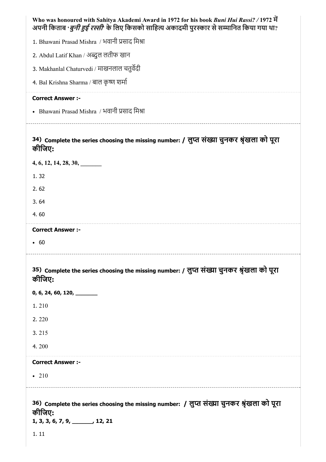| Who was honoured with Sahitya Akademi Award in 1972 for his book Buni Hui Rassi? / 1972 में<br>अपनी किताब ' <i>बुनी हुई रस्सी</i> ' के लिए किसको साहित्य अकादमी पुरस्कार से सम्मानित किया गया था? |
|---------------------------------------------------------------------------------------------------------------------------------------------------------------------------------------------------|
| 1. Bhawani Prasad Mishra / भवानी प्रसाद मिश्रा                                                                                                                                                    |
| 2. Abdul Latif Khan / अब्दुल लतीफ खान                                                                                                                                                             |
| 3. Makhanlal Chaturvedi / माखनलाल चतुर्वेदी                                                                                                                                                       |
| 4. Bal Krishna Sharma / बाल कृष्ण शर्मा                                                                                                                                                           |
| <b>Correct Answer :-</b>                                                                                                                                                                          |
| • Bhawani Prasad Mishra / भवानी प्रसाद मिश्रा                                                                                                                                                     |
| 34) Complete the series choosing the missing number: / लुप्त संख्या चुनकर श्रृंखला को पूरा<br>कीजिए:                                                                                              |
| 4, 6, 12, 14, 28, 30,                                                                                                                                                                             |
| 1.32                                                                                                                                                                                              |
| 2.62                                                                                                                                                                                              |
| 3.64                                                                                                                                                                                              |
| 4.60                                                                                                                                                                                              |
| <b>Correct Answer :-</b>                                                                                                                                                                          |
| • 60                                                                                                                                                                                              |
| 35) Complete the series choosing the missing number: / लुप्त संख्या चुनकर श्रृंखला को पूरा<br>कीजिए:                                                                                              |
| 0, 6, 24, 60, 120, $\frac{1}{2}$                                                                                                                                                                  |
| 1.210                                                                                                                                                                                             |
| 2.220                                                                                                                                                                                             |
| 3.215                                                                                                                                                                                             |
| 4.200                                                                                                                                                                                             |
| <b>Correct Answer :-</b>                                                                                                                                                                          |
| $\cdot$ 210                                                                                                                                                                                       |
| 36) Complete the series choosing the missing number: / लुप्त संख्या चुनकर श्रृंखला को पूरा<br>कीजिए:<br>$1, 3, 3, 6, 7, 9, \underline{\hspace{1cm}} 12, 21$<br>1.11                               |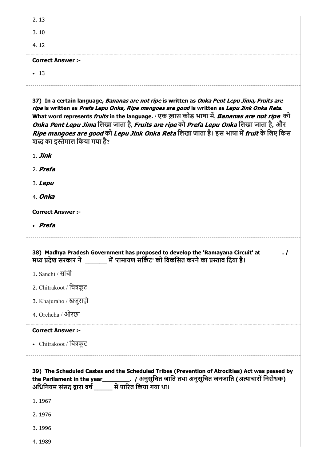| 2.13<br>3.10                                                                                                                                                                                                                                                                                                                                                                                                                                                                                                                                                        |
|---------------------------------------------------------------------------------------------------------------------------------------------------------------------------------------------------------------------------------------------------------------------------------------------------------------------------------------------------------------------------------------------------------------------------------------------------------------------------------------------------------------------------------------------------------------------|
| 4.12                                                                                                                                                                                                                                                                                                                                                                                                                                                                                                                                                                |
| <b>Correct Answer:-</b>                                                                                                                                                                                                                                                                                                                                                                                                                                                                                                                                             |
| • 13                                                                                                                                                                                                                                                                                                                                                                                                                                                                                                                                                                |
| 37) In a certain language, <i>Bananas are not ripe</i> is written as <i>Onka Pent Lepu Jima, Fruits are</i><br>ripe is written as Prefa Lepu Onka, Ripe mangoes are good is written as Lepu Jink Onka Reta.<br>What word represents <i>fruits</i> in the language. / एक ख़ास कोड भाषा में, <i>Bananas are not ripe</i> को<br><i>Onka Pent Lepu Jima</i> लिखा जाता है, <i>Fruits are ripe</i> को <i>Prefa Lepu Onka</i> लिखा जाता है, और<br>Ripe mangoes are good को Lepu Jink Onka Reta लिखा जाता है। इस भाषा में fruit के लिए किस<br>शब्द का इस्तेमाल किया गया है? |

1. Jink

2. Prefa

3. Lepu

4. Onka

Correct Answer :-

Prefa

38) Madhya Pradesh Government has proposed to develop the 'Ramayana Circuit' at \_\_\_\_\_\_. / म देश सरकार ने \_\_\_\_\_\_ म 'रामायण सिकट' को िवकिसत करनेका ाव िदया है।

1. Sanchi / सांची

2. Chitrakoot / िचकूट

3. Khajuraho / खजुराहो

4. Orchcha / ओरछा

Correct Answer :-

• Chitrakoot / चित्रकूट

39) The Scheduled Castes and the Scheduled Tribes (Prevention of Atrocities) Act was passed by the Parliament in the year\_\_\_\_\_\_\_\_\_\_. / अनुसूचित जाति तथा अनुसूचित जनजाति (अत्याचारों निरोधक) अधिनियम संसद द्वारा वर्ष \_\_\_\_\_\_ में पारित किया गया था।

1. 1967

2. 1976

3. 1996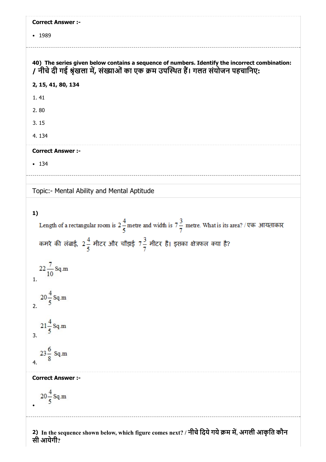| <b>Correct Answer :-</b>                                                                                                                                                          |
|-----------------------------------------------------------------------------------------------------------------------------------------------------------------------------------|
| • 1989                                                                                                                                                                            |
|                                                                                                                                                                                   |
| 40) The series given below contains a sequence of numbers. Identify the incorrect combination:<br>/ नीचे दी गई श्रृंखला में, संख्याओं का एक क्रम उपस्थित हैं। गलत संयोजन पहचानिए: |
| 2, 15, 41, 80, 134                                                                                                                                                                |
| 1.41                                                                                                                                                                              |
| 2.80                                                                                                                                                                              |
| 3.15                                                                                                                                                                              |
| 4.134                                                                                                                                                                             |
| <b>Correct Answer :-</b>                                                                                                                                                          |
| • 134                                                                                                                                                                             |
|                                                                                                                                                                                   |
| Topic:- Mental Ability and Mental Aptitude                                                                                                                                        |
|                                                                                                                                                                                   |
| 1)<br>Length of a rectangular room is $2\frac{4}{5}$ metre and width is $7\frac{3}{7}$ metre. What is its area? / एक आयताकार                                                      |
| कमरे की लंबाई, 2 $\frac{4}{5}$ मीटर और चौड़ाई 7 $\frac{3}{7}$ मीटर है। इसका क्षेत्रफल क्या है?                                                                                    |
| $22\frac{7}{10}$ Sq.m<br>1.                                                                                                                                                       |
| $20 - \text{Sq.m}$<br>2.                                                                                                                                                          |
| $21 - \text{Sq}$ .m<br>3.                                                                                                                                                         |
| $23\frac{6}{9}$ Sq.m<br>4.                                                                                                                                                        |
| <b>Correct Answer :-</b>                                                                                                                                                          |
| $20\frac{4}{5}$ Sq.m                                                                                                                                                              |
| 2) In the sequence shown below, which figure comes next? / नीचे दिये गये क्रम में, अगली आकृति कौन                                                                                 |

सी आयेगी?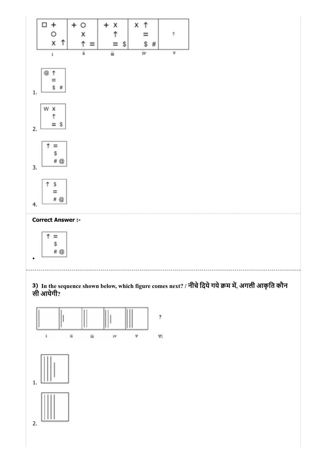

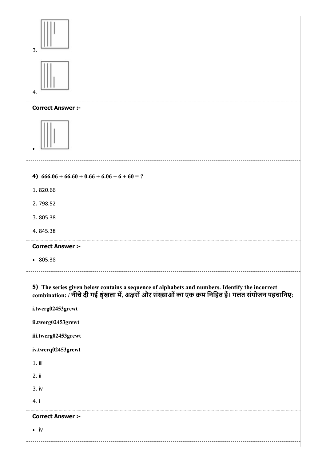| 3.                                                                                   |                                                                                                                                                                                                      |
|--------------------------------------------------------------------------------------|------------------------------------------------------------------------------------------------------------------------------------------------------------------------------------------------------|
| 4.                                                                                   |                                                                                                                                                                                                      |
| <b>Correct Answer :-</b>                                                             |                                                                                                                                                                                                      |
|                                                                                      |                                                                                                                                                                                                      |
|                                                                                      | 4) $666.06 + 66.60 + 0.66 + 6.06 + 6 + 60 = ?$                                                                                                                                                       |
| 1.820.66                                                                             |                                                                                                                                                                                                      |
| 2.798.52                                                                             |                                                                                                                                                                                                      |
| 3.805.38                                                                             |                                                                                                                                                                                                      |
| 4.845.38                                                                             |                                                                                                                                                                                                      |
| <b>Correct Answer :-</b>                                                             |                                                                                                                                                                                                      |
| $\cdot$ 805.38                                                                       |                                                                                                                                                                                                      |
| i.twerg02453grewt<br>ii.twerg02453grewt<br>iii.twerg02453grewt<br>iv.twerq02453grewt | 5) The series given below contains a sequence of alphabets and numbers. Identify the incorrect combination: / नीचे दी गई श्रृंखला में, अक्षरों और संख्याओं का एक क्रम निहित हैं। गलत संयोजन पहचानिए: |
| $1.$ iii                                                                             |                                                                                                                                                                                                      |
| 2. ii                                                                                |                                                                                                                                                                                                      |
| 3. iv                                                                                |                                                                                                                                                                                                      |
| 4. i                                                                                 |                                                                                                                                                                                                      |
|                                                                                      |                                                                                                                                                                                                      |
| <b>Correct Answer :-</b>                                                             |                                                                                                                                                                                                      |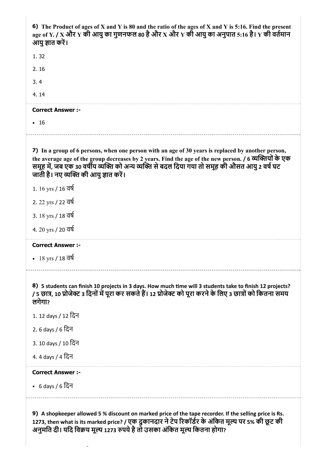| 6) The Product of ages of X and Y is 80 and the ratio of the ages of X and Y is 5:16. Find the present<br>age of Y. / X और Y की आयु का गुणनफल 80 है और X और Y की आयु का अनुपात 5:16 है। Y की वर्तमान<br>आयु ज्ञात करें।                                                                                                                                   |
|-----------------------------------------------------------------------------------------------------------------------------------------------------------------------------------------------------------------------------------------------------------------------------------------------------------------------------------------------------------|
| 1.32                                                                                                                                                                                                                                                                                                                                                      |
| 2.16                                                                                                                                                                                                                                                                                                                                                      |
| 3.4                                                                                                                                                                                                                                                                                                                                                       |
| 4.14                                                                                                                                                                                                                                                                                                                                                      |
| <b>Correct Answer :-</b>                                                                                                                                                                                                                                                                                                                                  |
| $\cdot$ 16                                                                                                                                                                                                                                                                                                                                                |
| 7) In a group of 6 persons, when one person with an age of 30 years is replaced by another person,<br>the average age of the group decreases by 2 years. Find the age of the new person. / 6 व्यक्तियों के एक<br>समूह में, जब एक 30 वर्षीय व्यक्ति को अन्य व्यक्ति से बदल दिया गया तो समूह की औसत आयु 2 वर्ष घट<br>जाती है। नए व्यक्ति की आयु ज्ञात करें। |
| 1. 16 yrs / 16 বর্ষ                                                                                                                                                                                                                                                                                                                                       |
| 2. 22 yrs / 22 বর্ষ                                                                                                                                                                                                                                                                                                                                       |
| 3. $18 \text{ yrs} / 18 \overline{\text{d}}\overline{\text{d}}$                                                                                                                                                                                                                                                                                           |
| 4. 20 yrs / 20 वर्ष                                                                                                                                                                                                                                                                                                                                       |
| <b>Correct Answer :-</b>                                                                                                                                                                                                                                                                                                                                  |
| • 18 yrs / 18 वर्ष                                                                                                                                                                                                                                                                                                                                        |
| 8) 5 students can finish 10 projects in 3 days. How much time will 3 students take to finish 12 projects?<br>/ 5 छात्र, 10 प्रोजेक्ट 3 दिनों में पूरा कर सकते हैं। 12 प्रोजेक्ट को पूरा करने के लिए 3 छात्रों को कितना समय<br>लगेगा?                                                                                                                      |
| 1. 12 days / 12 दिन                                                                                                                                                                                                                                                                                                                                       |
| 2. 6 days / 6 दिन                                                                                                                                                                                                                                                                                                                                         |
| 3. 10 days / 10 दिन                                                                                                                                                                                                                                                                                                                                       |
| 4.4 days / 4 दिन                                                                                                                                                                                                                                                                                                                                          |
| <b>Correct Answer:-</b>                                                                                                                                                                                                                                                                                                                                   |
| • 6 days / 6 दिन                                                                                                                                                                                                                                                                                                                                          |
| 9) A shopkeeper allowed 5 % discount on marked price of the tape recorder. If the selling price is Rs.<br>1273, then what is its marked price? / एक दुकानदार ने टेप रिकॉर्डर के अंकित मूल्य पर 5% की छूट की                                                                                                                                               |

अनुमति दी। यदि विक्रय मूल्य 1273 रुपये है तो उसका अर्कित मूल्य कितना होगा?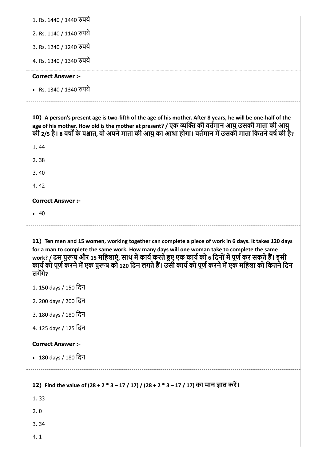| 1. Rs. 1440 / 1440 रुपये                                                                                                                                                                                                                                                                                                                                                                                                           |
|------------------------------------------------------------------------------------------------------------------------------------------------------------------------------------------------------------------------------------------------------------------------------------------------------------------------------------------------------------------------------------------------------------------------------------|
| 2. Rs. 1140 / 1140 रुपये                                                                                                                                                                                                                                                                                                                                                                                                           |
| 3. Rs. 1240 / 1240 रुपये                                                                                                                                                                                                                                                                                                                                                                                                           |
| 4. Rs. 1340 / 1340 रुपये                                                                                                                                                                                                                                                                                                                                                                                                           |
| <b>Correct Answer :-</b>                                                                                                                                                                                                                                                                                                                                                                                                           |
| • Rs. 1340 / 1340 रुपये                                                                                                                                                                                                                                                                                                                                                                                                            |
| 10) A person's present age is two-fifth of the age of his mother. After 8 years, he will be one-half of the<br>age of his mother. How old is the mother at present? / एक व्यक्ति की वर्तमान आयु उसकी माता की आयु<br>की 2/5 है। 8 वर्षों के पश्चात, वो अपने माता की आयु का आधा होगा। वर्तमान में उसकी माता कितने वर्ष की है?                                                                                                        |
| 1.44                                                                                                                                                                                                                                                                                                                                                                                                                               |
| 2.38                                                                                                                                                                                                                                                                                                                                                                                                                               |
| 3.40                                                                                                                                                                                                                                                                                                                                                                                                                               |
| 4.42                                                                                                                                                                                                                                                                                                                                                                                                                               |
| <b>Correct Answer :-</b>                                                                                                                                                                                                                                                                                                                                                                                                           |
| • 40                                                                                                                                                                                                                                                                                                                                                                                                                               |
|                                                                                                                                                                                                                                                                                                                                                                                                                                    |
| 11) Ten men and 15 women, working together can complete a piece of work in 6 days. It takes 120 days<br>for a man to complete the same work. How many days will one woman take to complete the same<br>work? / दस पुरूष और 15 महिलाएं, साथ में कार्य करते हुए एक कार्य को 6 दिनों में पूर्ण कर सकते हैं। इसी<br>कार्य को पूर्ण करने में एक पुरूष को 120 दिन लगते हैं। उसी कार्य को पूर्ण करने में एक महिला को कितने दिन<br>लगेंगे? |
| 1. 150 days / 150 दिन                                                                                                                                                                                                                                                                                                                                                                                                              |
| 2. 200 days / 200 दिन                                                                                                                                                                                                                                                                                                                                                                                                              |
| 3. 180 days / 180 दिन                                                                                                                                                                                                                                                                                                                                                                                                              |
| 4. 125 days / 125 दिन                                                                                                                                                                                                                                                                                                                                                                                                              |
| <b>Correct Answer :-</b>                                                                                                                                                                                                                                                                                                                                                                                                           |
| • 180 days / 180 दिन                                                                                                                                                                                                                                                                                                                                                                                                               |
| 12) Find the value of (28 + 2 * 3 – 17 / 17) / (28 + 2 * 3 – 17 / 17) का मान ज्ञात करें।                                                                                                                                                                                                                                                                                                                                           |
| 1.33                                                                                                                                                                                                                                                                                                                                                                                                                               |
| 2.0<br>3.34                                                                                                                                                                                                                                                                                                                                                                                                                        |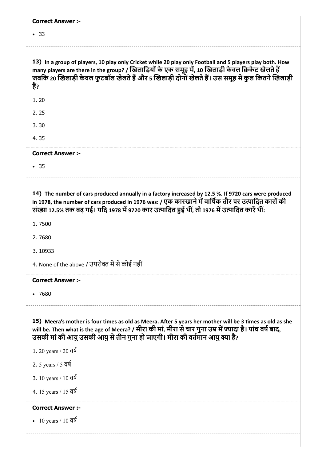| <b>Correct Answer :-</b>                                                                                                                                                                                                                                                                                                     |
|------------------------------------------------------------------------------------------------------------------------------------------------------------------------------------------------------------------------------------------------------------------------------------------------------------------------------|
| • 33                                                                                                                                                                                                                                                                                                                         |
|                                                                                                                                                                                                                                                                                                                              |
| 13) In a group of players, 10 play only Cricket while 20 play only Football and 5 players play both. How<br>many players are there in the group? / खिलाड़ियों के एक समूह में, 10 खिलाड़ी केवल क्रिकेट खेलते हैं<br>जबकि 20 खिलाड़ी केवल फुटबॉल खेलते हैं और 5 खिलाड़ी दोनों खेलते हैं। उस समूह में कुल कितने खिलाड़ी<br>हैं? |
| 1.20                                                                                                                                                                                                                                                                                                                         |
| 2.25                                                                                                                                                                                                                                                                                                                         |
| 3.30                                                                                                                                                                                                                                                                                                                         |
| 4.35                                                                                                                                                                                                                                                                                                                         |
| <b>Correct Answer :-</b>                                                                                                                                                                                                                                                                                                     |
| • 35                                                                                                                                                                                                                                                                                                                         |
|                                                                                                                                                                                                                                                                                                                              |
| 14) The number of cars produced annually in a factory increased by 12.5 %. If 9720 cars were produced<br>in 1978, the number of cars produced in 1976 was: / एक कारखाने में वार्षिक तौर पर उत्पादित कारों की<br>संख्या 12.5% तक बढ़ गई। यदि 1978 में 9720 कार उत्पादित हुई थीं, तो 1976 में उत्पादित कारें थीं:              |
| 1.7500                                                                                                                                                                                                                                                                                                                       |
| 2.7680                                                                                                                                                                                                                                                                                                                       |
| 3.10933                                                                                                                                                                                                                                                                                                                      |
| 4. None of the above / उपरोक्त में से कोई नहीं                                                                                                                                                                                                                                                                               |
| <b>Correct Answer :-</b>                                                                                                                                                                                                                                                                                                     |
| •7680                                                                                                                                                                                                                                                                                                                        |
| 15) Meera's mother is four times as old as Meera. After 5 years her mother will be 3 times as old as she<br>will be. Then what is the age of Meera? / मीरा की मां, मीरा से चार गुना उम्र में ज्यादा है। पांच वर्ष बाद,<br>उसकी मां की आयु उसकी आयु से तीन गुना हो जाएगी। मीरा की वर्तमान आयु क्या है?                        |
| 1. 20 years / 20 वर्ष                                                                                                                                                                                                                                                                                                        |
| 2. 5 years / 5 वर्ष                                                                                                                                                                                                                                                                                                          |
| 3. 10 years / 10 वर्ष                                                                                                                                                                                                                                                                                                        |
| 4. 15 years / 15 वर्ष                                                                                                                                                                                                                                                                                                        |
| <b>Correct Answer:-</b>                                                                                                                                                                                                                                                                                                      |
| • 10 years / 10 $\overline{d}$                                                                                                                                                                                                                                                                                               |
|                                                                                                                                                                                                                                                                                                                              |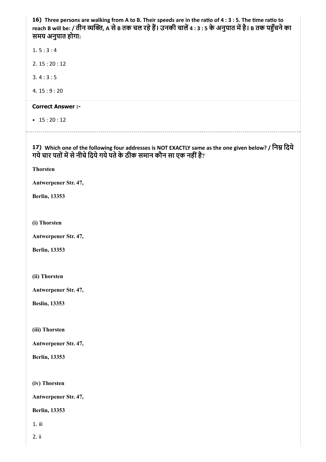16) Three persons are walking from A to B. Their speeds are in the ratio of  $4:3:5$ . The time ratio to 17) Which one of the following four addresses is NOT EXACTLY same as the one given below? / निम्न दिये reach B will be: / तीन व्यक्ति, A से B तक चल रहे हैं। उनकी चालें 4 : 3 : 5 के अनुपात में है। B तक पहुँचने का समय अनुपात होगा: 1. 5 : 3 : 4 2. 15 : 20 : 12 3. 4 : 3 : 5 4. 15 : 9 : 20 Correct Answer :-  $\bullet$  15 : 20 : 12 गये चार पतों में से नीचे दिये गये पते के ठीक समान कौन सा एक नहीं है? Thorsten Antwerpener Str. 47, Berlin, 13353 (i) Thorsten Antwerpener Str. 47, Berlin, 13353 (ii) Thorsten Antwerpener Str. 47, Beslin, 13353 (iii) Thorsten Antwerpener Str. 47, Berlin, 13353 (iv) Thorsten Antwerpener Str. 47, Berlin, 13353 1. iii 2. ii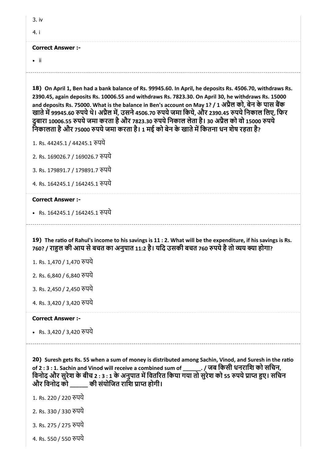| 3.iv                                                                                                                                                                                                                                                                                                                                                                                                                                                                                                                                                                                                                      |
|---------------------------------------------------------------------------------------------------------------------------------------------------------------------------------------------------------------------------------------------------------------------------------------------------------------------------------------------------------------------------------------------------------------------------------------------------------------------------------------------------------------------------------------------------------------------------------------------------------------------------|
| 4. i                                                                                                                                                                                                                                                                                                                                                                                                                                                                                                                                                                                                                      |
| <b>Correct Answer:-</b>                                                                                                                                                                                                                                                                                                                                                                                                                                                                                                                                                                                                   |
| $\bullet$ ii                                                                                                                                                                                                                                                                                                                                                                                                                                                                                                                                                                                                              |
| 18) On April 1, Ben had a bank balance of Rs. 99945.60. In April, he deposits Rs. 4506.70, withdraws Rs.<br>2390.45, again deposits Rs. 10006.55 and withdraws Rs. 7823.30. On April 30, he withdraws Rs. 15000<br>and deposits Rs. 75000. What is the balance in Ben's account on May 1? / 1 अप्रैल को, बेन के पास बैंक<br>खाते में 99945.60 रुपये थे। अप्रैल में, उसने 4506.70 रुपये जमा किये, और 2390.45 रुपये निकाल लिए, फिर<br>दुबारा 10006.55 रुपये जमा करता है और 7823.30 रुपये निकाल लेता है। 30 अप्रैल को वो 15000 रुपये<br>निकालता है और 75000 रुपये जमा करता है। 1 मई को बेन के खाते में कितना धन शेष रहता है? |
| 1. Rs. 44245.1 / 44245.1 रुपये                                                                                                                                                                                                                                                                                                                                                                                                                                                                                                                                                                                            |
| 2. Rs. 169026.7 / 169026.7 रुपये                                                                                                                                                                                                                                                                                                                                                                                                                                                                                                                                                                                          |
| 3. Rs. 179891.7 / 179891.7 रुपये                                                                                                                                                                                                                                                                                                                                                                                                                                                                                                                                                                                          |
| 4. Rs. 164245.1 / 164245.1 रुपये                                                                                                                                                                                                                                                                                                                                                                                                                                                                                                                                                                                          |
| <b>Correct Answer :-</b>                                                                                                                                                                                                                                                                                                                                                                                                                                                                                                                                                                                                  |
| • Rs. 164245.1 / 164245.1 रुपये                                                                                                                                                                                                                                                                                                                                                                                                                                                                                                                                                                                           |
| 19) The ratio of Rahul's income to his savings is 11 : 2. What will be the expenditure, if his savings is Rs.<br>760? / राहुल की आय से बचत का अनुपात 11:2 है। यदि उसकी बचत 760 रुपये है तो व्यय क्या होगा?<br>1. Rs. 1,470 / 1,470 रुपये<br>2. Rs. 6,840 / 6,840 रुपये<br>3. Rs. 2,450 / 2,450 रुपये<br>4. Rs. 3,420 / 3,420 रुपये                                                                                                                                                                                                                                                                                        |
| <b>Correct Answer :-</b>                                                                                                                                                                                                                                                                                                                                                                                                                                                                                                                                                                                                  |

• Rs. 3,420 / 3,420 रुपये

20) Suresh gets Rs. 55 when a sum of money is distributed among Sachin, Vinod, and Suresh in the ratio of 2 : 3 : 1. Sachin and Vinod will receive a combined sum of \_\_\_\_\_\_. / जब िकसी धनरािश को सिचन, विनोद और सुरेश के बीच 2 : 3 : 1 के अनुपात में वितरित किया गया तो सुरेश को 55 रुपये प्राप्त हुए। सचिन और विनोद को \_\_\_\_\_\_ की संयोजित राशि प्राप्त होगी।

1. Rs. 220 / 220 पये

- 2. Rs. 330 / 330 पये
- 3. Rs. 275 / 275 पये
- 4. Rs. 550 / 550 पये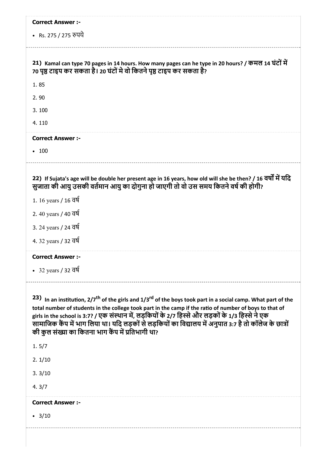|                                   | <b>Correct Answer:-</b>                                                                                                                                                                                                                                                                                                                                                                                                                                                                                                  |
|-----------------------------------|--------------------------------------------------------------------------------------------------------------------------------------------------------------------------------------------------------------------------------------------------------------------------------------------------------------------------------------------------------------------------------------------------------------------------------------------------------------------------------------------------------------------------|
| • Rs. 275 / 275 रुपये             |                                                                                                                                                                                                                                                                                                                                                                                                                                                                                                                          |
|                                   | 21) Kamal can type 70 pages in 14 hours. How many pages can he type in 20 hours? / कमल 14 घंटों में<br>70 पृष्ठ टाइप कर सकता है। 20 घंटों मे वो कितने पृष्ठ टाइप कर सकता है?                                                                                                                                                                                                                                                                                                                                             |
| 1.85                              |                                                                                                                                                                                                                                                                                                                                                                                                                                                                                                                          |
| 2.90                              |                                                                                                                                                                                                                                                                                                                                                                                                                                                                                                                          |
| 3.100                             |                                                                                                                                                                                                                                                                                                                                                                                                                                                                                                                          |
| 4.110                             |                                                                                                                                                                                                                                                                                                                                                                                                                                                                                                                          |
| <b>Correct Answer:-</b>           |                                                                                                                                                                                                                                                                                                                                                                                                                                                                                                                          |
| • 100                             |                                                                                                                                                                                                                                                                                                                                                                                                                                                                                                                          |
|                                   | 22) If Sujata's age will be double her present age in 16 years, how old will she be then? / 16 वर्षों में यदि<br>सुजाता की आयु उसकी वर्तमान आयु का दोगुना हो जाएगी तो वो उस समय कितने वर्ष की होगी?                                                                                                                                                                                                                                                                                                                      |
| 1. 16 years / 16 वर्ष             |                                                                                                                                                                                                                                                                                                                                                                                                                                                                                                                          |
| 2. 40 years / 40 वर्ष             |                                                                                                                                                                                                                                                                                                                                                                                                                                                                                                                          |
| 3. 24 years / 24 वर्ष             |                                                                                                                                                                                                                                                                                                                                                                                                                                                                                                                          |
| 4. 32 years / 32 वर्ष             |                                                                                                                                                                                                                                                                                                                                                                                                                                                                                                                          |
| <b>Correct Answer:-</b>           |                                                                                                                                                                                                                                                                                                                                                                                                                                                                                                                          |
| • 32 years / 32 $\overline{d}$    |                                                                                                                                                                                                                                                                                                                                                                                                                                                                                                                          |
|                                   |                                                                                                                                                                                                                                                                                                                                                                                                                                                                                                                          |
| 1.5/7                             | 23) In an institution, $2/7$ <sup>th</sup> of the girls and $1/3$ <sup>rd</sup> of the boys took part in a social camp. What part of the<br>total number of students in the college took part in the camp if the ratio of number of boys to that of<br>girls in the school is 3:7? / एक संस्थान में, लड़कियों के 2/7 हिस्से और लड़कों के 1/3 हिस्से ने एक<br>सामाजिक कैंप में भाग लिया था। यदि लड़कों से लड़कियों का विद्यालय में अनुपात 3:7 है तो कॉलेज के छात्रों<br>की कुल संख्या का कितना भाग कैंप में प्रतिभागी था? |
| 2.1/10                            |                                                                                                                                                                                                                                                                                                                                                                                                                                                                                                                          |
| 3.3/10                            |                                                                                                                                                                                                                                                                                                                                                                                                                                                                                                                          |
|                                   |                                                                                                                                                                                                                                                                                                                                                                                                                                                                                                                          |
| 4.3/7<br><b>Correct Answer :-</b> |                                                                                                                                                                                                                                                                                                                                                                                                                                                                                                                          |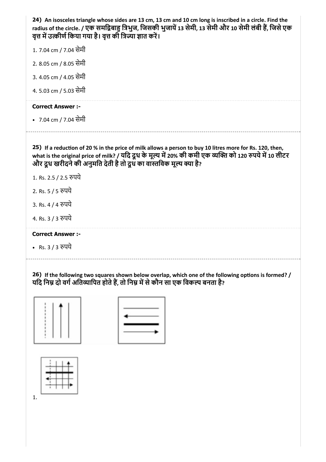| 24) An isosceles triangle whose sides are 13 cm, 13 cm and 10 cm long is inscribed in a circle. Find the<br>radius of the circle. / एक समद्विबाहु त्रिभुज, जिसकी भुजायें 13 सेमी, 13 सेमी और 10 सेमी लंबी हैं, जिसे एक<br>वृत्त में उत्कीर्ण किया गया है। वृत्त की त्रिज्या ज्ञात करें।    |  |
|--------------------------------------------------------------------------------------------------------------------------------------------------------------------------------------------------------------------------------------------------------------------------------------------|--|
| 1.7.04 cm / 7.04 सेमी                                                                                                                                                                                                                                                                      |  |
| 2. 8.05 cm / 8.05 सेमी                                                                                                                                                                                                                                                                     |  |
| 3. 4.05 cm / 4.05 सेमी                                                                                                                                                                                                                                                                     |  |
| 4.55.03 cm / 5.03 सेमी                                                                                                                                                                                                                                                                     |  |
| <b>Correct Answer:-</b>                                                                                                                                                                                                                                                                    |  |
| • 7.04 cm / 7.04 सेमी                                                                                                                                                                                                                                                                      |  |
|                                                                                                                                                                                                                                                                                            |  |
| 25) If a reduction of 20 % in the price of milk allows a person to buy 10 litres more for Rs. 120, then,<br>what is the original price of milk? / यदि दूध के मूल्य में 20% की कमी एक व्यक्ति को 120 रुपये में 10 लीटर<br>और दूध खरीदने की अनुमति देती है तो दूध का वास्तविक मूल्य क्या है? |  |
| 1. Rs. 2.5 / 2.5 रुपये                                                                                                                                                                                                                                                                     |  |
| 2. Rs. 5 / 5 रुपये                                                                                                                                                                                                                                                                         |  |
| 3. Rs. 4 / 4 रुपये                                                                                                                                                                                                                                                                         |  |
| 4. Rs. 3 / 3 रुपये                                                                                                                                                                                                                                                                         |  |
| <b>Correct Answer :-</b>                                                                                                                                                                                                                                                                   |  |
| • Rs. 3 / 3 रुपये                                                                                                                                                                                                                                                                          |  |

26) If the following two squares shown below overlap, which one of the following options is formed? / यदि निम्न दो वर्ग अतिव्यापित होते हैं, तो निम्न में से कौन सा एक विकल्प बनता है?



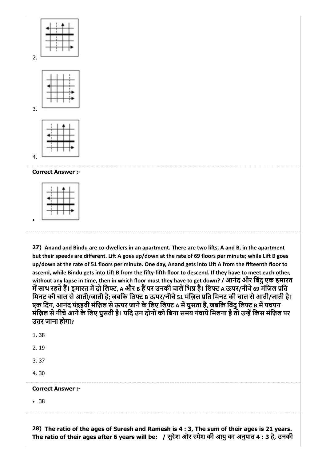



3.

4.

Correct Answer :-

27) Anand and Bindu are co-dwellers in an apartment. There are two lifts, A and B, in the apartment but their speeds are different. Lift A goes up/down at the rate of 69 floors per minute; while Lift B goes up/down at the rate of 51 floors per minute. One day, Anand gets into Lift A from the fifteenth floor to ascend, while Bindu gets into Lift B from the fifty-fifth floor to descend. If they have to meet each other, without any lapse in time, then in which floor must they have to get down? / आनंद और बिंदु एक इमारत में साथ रहते हैं। इमारत में दो लिफ्ट, A और B हैं पर उनकी चालें भिन्न है। लिफ्ट A ऊपर/नीचे 69 मंज़िल प्रति मिनट की चाल से आती/जाती है; जबकि लिफ्ट в ऊपर/नीचे 51 मंज़िल प्रति मिनट की चाल से आती/जाती है। एक दिन, आनंद पंद्रहवी मंज़िल से ऊपर जाने के लिए लिफ्ट A में घुसता है, जबकि बिंदु लिफ्ट B में पचपन मंज़िल से नीचे आने के लिए घुसती है। यदि उन दोनों को बिना समय गंवाये मिलना है तो उन्हें किस मंज़िल पर उतर जाना होगा?

| • 38                     |  |  |  |
|--------------------------|--|--|--|
| <b>Correct Answer :-</b> |  |  |  |
| 4.30                     |  |  |  |
| 3.37                     |  |  |  |
| 2.19                     |  |  |  |
| 1.38                     |  |  |  |

28) The ratio of the ages of Suresh and Ramesh is 4 : 3, The sum of their ages is 21 years. The ratio of their ages after 6 years will be: / सुरेश और रमेश की आयुका अनुपात 4 : 3 है, उनकी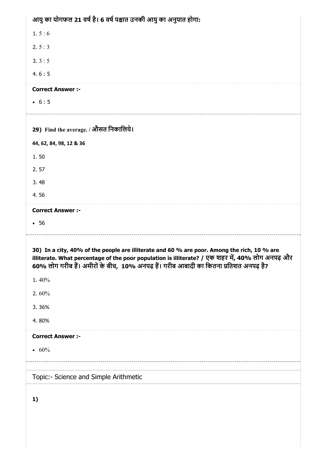| आयु का योगफल 21 वर्ष है। 6 वर्ष पश्चात उनकी आयु का अनुपात होगा:                                                                                                                                                                                                                           |
|-------------------------------------------------------------------------------------------------------------------------------------------------------------------------------------------------------------------------------------------------------------------------------------------|
| 1.5:6                                                                                                                                                                                                                                                                                     |
| 2.5:3                                                                                                                                                                                                                                                                                     |
| 3.3:5                                                                                                                                                                                                                                                                                     |
| 4.6:5                                                                                                                                                                                                                                                                                     |
| <b>Correct Answer :-</b>                                                                                                                                                                                                                                                                  |
| • 6:5                                                                                                                                                                                                                                                                                     |
|                                                                                                                                                                                                                                                                                           |
| 29) Find the average. / औसत निकालिये।                                                                                                                                                                                                                                                     |
| 44, 62, 84, 98, 12 & 36                                                                                                                                                                                                                                                                   |
| 1.50                                                                                                                                                                                                                                                                                      |
| 2.57                                                                                                                                                                                                                                                                                      |
| 3.48                                                                                                                                                                                                                                                                                      |
| 4.56                                                                                                                                                                                                                                                                                      |
| <b>Correct Answer :-</b>                                                                                                                                                                                                                                                                  |
| •56                                                                                                                                                                                                                                                                                       |
| 30) In a city, 40% of the people are illiterate and 60 % are poor. Among the rich, 10 % are<br>illiterate. What percentage of the poor population is illiterate? / एक शहर में, 40% लोग अनपढ़ और<br>60% लोग गरीब हैं। अमीरों के बीच,  10% अनपढ़ हैं। गरीब आबादी का कितना प्रतिशत अनपढ़ है? |
| 1.40%                                                                                                                                                                                                                                                                                     |
| 2.60%                                                                                                                                                                                                                                                                                     |
| 3.36%                                                                                                                                                                                                                                                                                     |
| 4.80%                                                                                                                                                                                                                                                                                     |
| <b>Correct Answer :-</b>                                                                                                                                                                                                                                                                  |
| • $60%$                                                                                                                                                                                                                                                                                   |
|                                                                                                                                                                                                                                                                                           |
| Topic:- Science and Simple Arithmetic                                                                                                                                                                                                                                                     |
| 1)                                                                                                                                                                                                                                                                                        |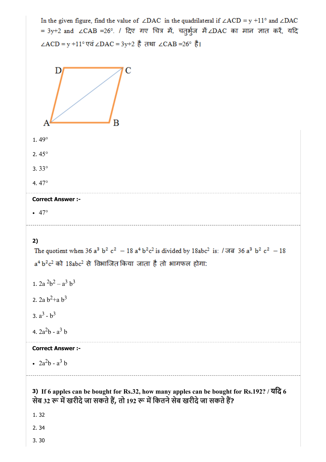In the given figure, find the value of  $\angle$ DAC in the quadrilateral if  $\angle$ ACD = y +11° and  $\angle$ DAC = 3y+2 and ∠CAB =26°. / दिए गए चित्र में, चतुर्भुज में ∠DAC का मान ज्ञात करें, यदि ∠ACD = y +11° एवं ∠DAC = 3y+2 है तथा ∠CAB =26° है। Г в 1. 49° 2. 45° 3. 33° 4. 47° Correct Answer :-  $• 47°$ 2) The quotient when 36 a<sup>3</sup> b<sup>2</sup> c<sup>2</sup> - 18 a<sup>4</sup> b<sup>2</sup>c<sup>2</sup> is divided by 18abc<sup>2</sup> is:  $/\sqrt{3}$  a<sup>3</sup> b<sup>2</sup> c<sup>2</sup> - 18  $a<sup>4</sup> b<sup>2</sup> c<sup>2</sup>$  को 18abc<sup>2</sup> से विभाजित किया जाता है तो भागफल होगा: 1.  $2a^2b^2 - a^3b^3$ 2. 2a  $b^2$ +a  $b^3$ 3.  $a^3 - b^3$ 4.  $2a^2b - a^3b$ Correct Answer :-  $2a^2b - a^3b$ 3) If 6 apples can be bought for Rs.32, how many apples can be bought for Rs.192? / यिद 6 सेब 32 रू में खरीदे जा सकते हैं, तो 192 रू में कितने सेब खरीदे जा सकते हैं? 1. 32 2. 34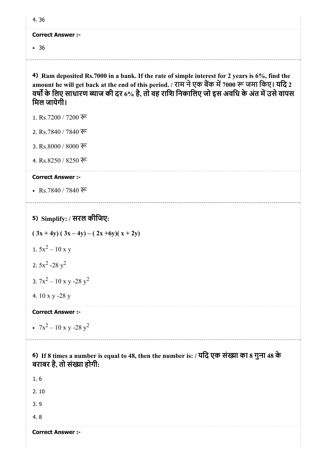#### Correct Answer :-

• 36

4) Ram deposited Rs.7000 in a bank. If the rate of simple interest for 2 years is 6%, find the amount he will get back at the end of this period. / राम ने एक बैंक में 7000 रू जमा किए। यदि 2 वर्षों के लिए साधारण ब्याज की दर 6% है, तो वह राशि निकालिए जो इस अवधि के अंत में उसे वापस िमल जायेगी।

- 1. Rs.7200 / 7200 रू
- 2. Rs.7840 / 7840 रू
- 3. Rs.8000 / 8000 रू
- 4. Rs.8250 / 8250 रू

#### Correct Answer :-

• Rs.7840 / 7840 रू

# 5) Simplify: / सरल कीिजए:

 $(3x+4y)$   $(3x-4y) - (2x+6y)(x+2y)$ 1.  $5x^2 - 10x y$ 2.  $5x^2 - 28y^2$ 

- 3.  $7x^2 10x y 28y^2$
- 4. 10 x y -28 y

### Correct Answer :-

 $7x^2 - 10x y - 28y^2$ 

## 6) If 8 times a number is equal to 48, then the number is: / यदि एक संख्या का 8 गुना 48 के बराबर है, तो संख्या होगी:

1. 6

2. 10

3. 9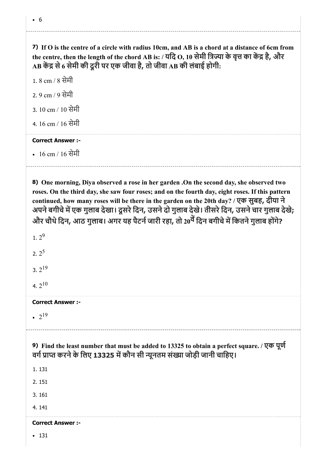6

7) If O is the centre of a circle with radius 10cm, and AB is a chord at a distance of 6cm from the centre, then the length of the chord AB is: / यदि O, 10 सेमी त्रिज्या के वृत्त का केंद्र है, और  $\bf AB$  केंद्र से 6 सेमी की दूरी पर एक जीवा है, तो जीवा  $\bf AB$  की लंबाई होगी:

1. 8 cm / 8 सेमी 2. 9 cm / 9 सेमी 3. 10 cm / 10 सेमी 4. 16 cm / 16 सेमी

# Correct Answer :-

16 cm / 16 सेमी

8) One morning, Diya observed a rose in her garden .On the second day, she observed two roses. On the third day, she saw four roses; and on the fourth day, eight roses. If this pattern continued, how many roses will be there in the garden on the 20th day? / एक सुबह, दीया ने अपने बगीचे में एक गुलाब देखा। दूसरे दिन, उसने दो गुलाब देखे। तीसरे दिन, उसने चार गुलाब देखे; और चौथे दिन, आठ गुलाब। अगर यह पैटर्न जारी रहा, तो 20<sup>वें</sup> दिन बगीचे में कितने गुलाब होंगे?

| 1. $2^9$                                                                                                                                                                  |
|---------------------------------------------------------------------------------------------------------------------------------------------------------------------------|
| 2.2 <sup>5</sup>                                                                                                                                                          |
| 3. $2^{19}$                                                                                                                                                               |
| 4.2 <sup>10</sup>                                                                                                                                                         |
| <b>Correct Answer :-</b>                                                                                                                                                  |
| • $2^{19}$                                                                                                                                                                |
|                                                                                                                                                                           |
| 9) Find the least number that must be added to 13325 to obtain a perfect square. / एक पूर्ण<br>वर्ग प्राप्त करने के लिए 13325 में कौन सी न्यूनतम संख्या जोड़ी जानी चाहिए। |
| 1.131                                                                                                                                                                     |
| 2.151                                                                                                                                                                     |
| 3.161                                                                                                                                                                     |
| 4.141                                                                                                                                                                     |
| <b>Correct Answer :-</b>                                                                                                                                                  |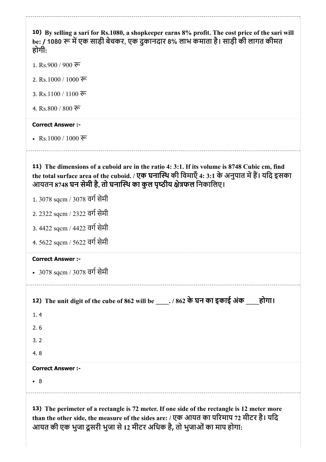| 10) By selling a sari for Rs.1080, a shopkeeper earns 8% profit. The cost price of the sari will<br>be: / 1080 रू में एक साड़ी बेचकर, एक दुकानदार 8% लाभ कमाता है। साड़ी की लागत कीमत<br>होगी:                                                                        |
|-----------------------------------------------------------------------------------------------------------------------------------------------------------------------------------------------------------------------------------------------------------------------|
| 1. Rs.900 / 900 ফ                                                                                                                                                                                                                                                     |
| 2. Rs.1000 / 1000 रू                                                                                                                                                                                                                                                  |
| 3. Rs.1100 / 1100 रू                                                                                                                                                                                                                                                  |
| 4. Rs.800 / 800 ফ                                                                                                                                                                                                                                                     |
| <b>Correct Answer :-</b>                                                                                                                                                                                                                                              |
| • Rs.1000 / 1000 रू                                                                                                                                                                                                                                                   |
| 11) The dimensions of a cuboid are in the ratio 4: 3:1. If its volume is 8748 Cubic cm, find<br>the total surface area of the cuboid. / एक घनास्थि की विमाएँ 4: 3:1 के अनुपात में हैं। यदि इसका<br>आयतन 8748 घन सेमी है, तो घनास्थि का कुल पृष्ठीय क्षेत्रफल निकालिए। |
| 1.3078 sqcm / 3078 वर्ग सेमी                                                                                                                                                                                                                                          |
| 2. 2322 sqcm / 2322 वर्ग सेमी                                                                                                                                                                                                                                         |
| 3. 4422 sqcm / 4422 वर्ग सेमी                                                                                                                                                                                                                                         |
| 4. 5622 sqcm / 5622 वर्ग सेमी                                                                                                                                                                                                                                         |
| <b>Correct Answer :-</b>                                                                                                                                                                                                                                              |
| • 3078 sqcm / 3078 वर्ग सेमी                                                                                                                                                                                                                                          |
| 12) The unit digit of the cube of 862 will be _____. / 862 के घन का इकाई अंक<br>होगा।<br>1.4                                                                                                                                                                          |
| 2.6                                                                                                                                                                                                                                                                   |
| 3.2                                                                                                                                                                                                                                                                   |
| 4.8                                                                                                                                                                                                                                                                   |
| <b>Correct Answer :-</b>                                                                                                                                                                                                                                              |
| $\bullet$ 8                                                                                                                                                                                                                                                           |
| 13) The perimeter of a rectangle is 72 meter. If one side of the rectangle is 12 meter more<br>than the other side, the measure of the sides are: / एक आयत का परिमाप 72 मीटर है। यदि                                                                                  |

आयत की एक भुजा दूसरी भुजा से 12 मीटर अधिक है, तो भुजाओं का माप होगा: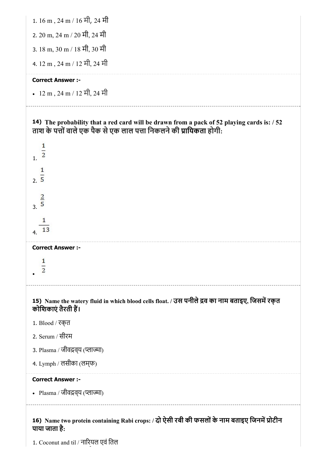

<sup>1.</sup> Coconut and til / नारियल एवं तिल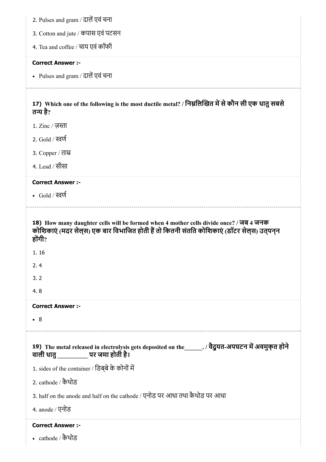|  | 2. Pulses and gram / दालें एवं चना |  |  |  |  |  |
|--|------------------------------------|--|--|--|--|--|
|--|------------------------------------|--|--|--|--|--|

- 3. Cotton and jute / कपास एवं पटसन
- 4. Tea and coffee / चाय एवं कॉफी

#### Correct Answer :-

• Pulses and gram / दालें एवं चना

17) Which one of the following is the most ductile metal? / निम्नलिखित में से कौन सी एक धातु सबसे तन्य है $_2$ 

- $1.$  Zinc / ज़स्ता
- 2. Gold  $/$  स्वर्ण
- 3. Copper / ता
- 4. Lead / सीसा

#### Correct Answer :-

• Gold / स्वर्ण

18) How many daughter cells will be formed when 4 mother cells divide once? / जब 4 जनक कोशिकाएं (मदर सेल्स) एक बार विभाजित होती हैं तो कितनी संतति कोशिकाएं (डॉटर सेल्स) उतपनन होंगी $\overline{?}$ 

- 1. 16
- 2. 4
- 3. 2
- 4. 8

#### Correct Answer :-

8

## 19) The metal released in electrolysis gets deposited on the \_\_\_\_\_\_. / वैदुयत-अपघटन में अवमुक्त होने वाली धातु\_\_\_\_\_\_\_\_\_\_ पर जमा होती है।

1. sides of the container / डिब्बे के कोनों में

2. cathode / कैथोड

3. half on the anode and half on the cathode / एनोड पर आधा तथा कैथोड पर आधा

4. anode / एनोड

#### Correct Answer :-

cathode / कैथोड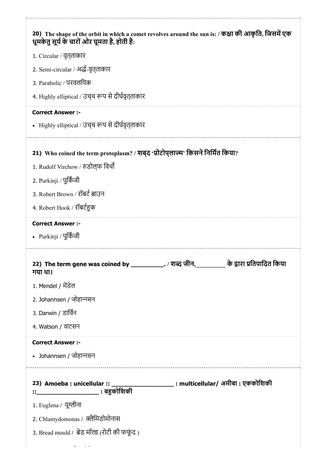| 20) The shape of the orbit in which a comet revolves around the sun is: / कक्षा की आकृति, जिसमें एक<br>धूमकेतु सूर्य के चारों ओर घूमता है, होती है: |  |
|-----------------------------------------------------------------------------------------------------------------------------------------------------|--|
| 1. Circular / वृत् <i>ताकार</i>                                                                                                                     |  |
| 2. Semi-circular / अर्द्ध-वृत् <b>ताका</b> र                                                                                                        |  |
| 3. Parabolic / परवलयिक                                                                                                                              |  |
| 4. Highly elliptical / उच्च रूप से दीर्घवृत्ताकार                                                                                                   |  |
| <b>Correct Answer :-</b>                                                                                                                            |  |
| • Highly elliptical / उच् <b>च रूप से दीर्घवृत्</b> ताकार                                                                                           |  |
|                                                                                                                                                     |  |
| 21) Who coined the term protoplasm? / शब्द 'प्रोटोप्लाज्म' किसने निर्मित किया?                                                                      |  |
| 1. Rudolf Virchow / रुडोल्फ विर्चो                                                                                                                  |  |
| 2. Purkinji / पुर्किंजी                                                                                                                             |  |
| 3. Robert Brown / रॉबर्ट ब्राउन                                                                                                                     |  |
| 4. Robert Hook / रॉबर्टहुक                                                                                                                          |  |
| <b>Correct Answer :-</b>                                                                                                                            |  |
| • Purkinji / पुर्किंजी                                                                                                                              |  |
| 22) The term gene was coined by ____________. / शब्द जीन, __________ के द्वारा प्रतिपादित किया<br>गया था।                                           |  |
| 1. Mendel / मेंडेल                                                                                                                                  |  |
| 2. Johannsen / जोहान्नसन                                                                                                                            |  |
| 3. Darwin / डार्विन                                                                                                                                 |  |
| 4. Watson / वाटसन                                                                                                                                   |  |
| <b>Correct Answer :-</b>                                                                                                                            |  |
| • Johannsen / जोहान्नसन                                                                                                                             |  |
| 23) Amoeba : unicellular :: _______________________ : multicellular/ अमीबा : एककोशिकी                                                               |  |
| ::________________________ : बहुकोशिकी                                                                                                              |  |
| 1. Euglena / यूग्लीना                                                                                                                               |  |
| 2. Chlamydomonas / क्लैमिडोमोनास                                                                                                                    |  |
|                                                                                                                                                     |  |
| 3. Bread mould / ब्रेड मॉल्ड (रोटी की फफूंद)                                                                                                        |  |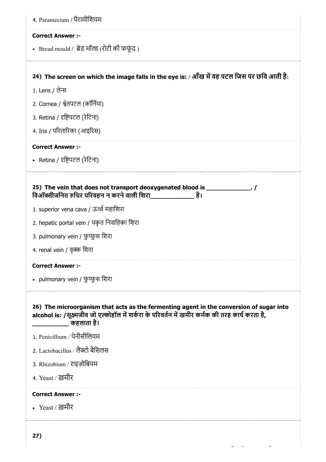| <b>Correct Answer :-</b>                                                                                                                                                                   |  |
|--------------------------------------------------------------------------------------------------------------------------------------------------------------------------------------------|--|
| • Bread mould / ब्रेड मॉल्ड (रोटी की फफूंद)                                                                                                                                                |  |
| 24) The screen on which the image falls in the eye is: / आँख में वह पटल जिस पर छवि आती है:                                                                                                 |  |
| 1. Lens / लेन्स                                                                                                                                                                            |  |
| 2. Cornea / श्वेतपटल (कॉर्निया)                                                                                                                                                            |  |
| 3. Retina / दृष्टिपटल (रेटिना)                                                                                                                                                             |  |
| 4. Iris / परितारिका (आइरिस)                                                                                                                                                                |  |
| <b>Correct Answer :-</b>                                                                                                                                                                   |  |
| • Retina / दृष्टिपटल (रेटिना)                                                                                                                                                              |  |
| 25) The vein that does not transport deoxygenated blood is ______________. /<br>1. superior vena cava / ऊर्ध्व महाशिरा                                                                     |  |
| 2. hepatic portal vein / यकृत निवाहिका शिरा                                                                                                                                                |  |
| 3. pulmonary vein / फुप्फुस शिरा                                                                                                                                                           |  |
| 4. renal vein / वृक्क शिरा                                                                                                                                                                 |  |
|                                                                                                                                                                                            |  |
| <b>Correct Answer :-</b>                                                                                                                                                                   |  |
| • pulmonary vein / फुप्फुस शिरा                                                                                                                                                            |  |
|                                                                                                                                                                                            |  |
| 26) The microorganism that acts as the fermenting agent in the conversion of sugar into<br>alcohol is: /सूक्ष्मजीव जो एल्कोहॉल में शर्करा के परिवर्तन में खमीर कर्मक की तरह कार्य करता है, |  |
| 1. Penicillium / पेनीसीलियम                                                                                                                                                                |  |
| 2. Lactobacillus / लैक्टो बैसिलस                                                                                                                                                           |  |
| 3. Rhizobium / राइज़ोबियम                                                                                                                                                                  |  |
| 4. Yeast / ख़मीर                                                                                                                                                                           |  |
| <b>Correct Answer:-</b>                                                                                                                                                                    |  |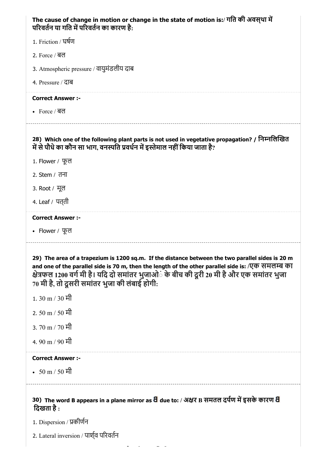| The cause of change in motion or change in the state of motion is:/ गति की अवस्था में<br>परिवर्तन या गति में परिवर्तन का कारण है:                                                                                                                                                                                                                            |
|--------------------------------------------------------------------------------------------------------------------------------------------------------------------------------------------------------------------------------------------------------------------------------------------------------------------------------------------------------------|
| 1. Friction / घर्षण                                                                                                                                                                                                                                                                                                                                          |
| 2. Force / <b>ब</b> ल                                                                                                                                                                                                                                                                                                                                        |
| 3. Atmospheric pressure / वायुमंडलीय दाब                                                                                                                                                                                                                                                                                                                     |
| 4. Pressure / दाब                                                                                                                                                                                                                                                                                                                                            |
| <b>Correct Answer :-</b>                                                                                                                                                                                                                                                                                                                                     |
| • Force / बल                                                                                                                                                                                                                                                                                                                                                 |
| 28) Which one of the following plant parts is not used in vegetative propagation? / निम्नलिखित<br>में से पौधे का कौन सा भाग, वनस्पति प्रवर्धन में इस्तेमाल नहीं किया जाता है?                                                                                                                                                                                |
| 1. Flower / फूल                                                                                                                                                                                                                                                                                                                                              |
| 2. Stem / तना                                                                                                                                                                                                                                                                                                                                                |
| 3. Root / मूल                                                                                                                                                                                                                                                                                                                                                |
| 4. Leaf / पत् <b>ती</b>                                                                                                                                                                                                                                                                                                                                      |
| <b>Correct Answer :-</b>                                                                                                                                                                                                                                                                                                                                     |
| • Flower / फूल                                                                                                                                                                                                                                                                                                                                               |
| 29) The area of a trapezium is 1200 sq.m. If the distance between the two parallel sides is 20 m<br>and one of the parallel side is 70 m, then the length of the other parallel side is: /एक समलम्ब का<br>क्षेत्रफल 1200 वर्ग मी है। यदि दो समांतर भुजाओ <b>ं के बीच की दूरी 20 मी है और एक समांतर</b> भुजा<br>70 मी है, तो दूसरी समांतर भुजा की लंबाई होगी: |
| 1.30 m / 30 मी                                                                                                                                                                                                                                                                                                                                               |
| 2. 50 m / 50 मी                                                                                                                                                                                                                                                                                                                                              |
| 3.70 m / 70 मी                                                                                                                                                                                                                                                                                                                                               |
| 4.90 m / 90 मी                                                                                                                                                                                                                                                                                                                                               |
| <b>Correct Answer :-</b>                                                                                                                                                                                                                                                                                                                                     |
| • 50 m / 50 मी                                                                                                                                                                                                                                                                                                                                               |
| 30) The word B appears in a plane mirror as a due to: / अक्षर B समतल दर्पण में इसके कारण a<br>दिखता है :                                                                                                                                                                                                                                                     |
| 1. Dispersion / प्रकीर्णन                                                                                                                                                                                                                                                                                                                                    |
| 2. Lateral inversion / पार्श्व परिवर्तन                                                                                                                                                                                                                                                                                                                      |